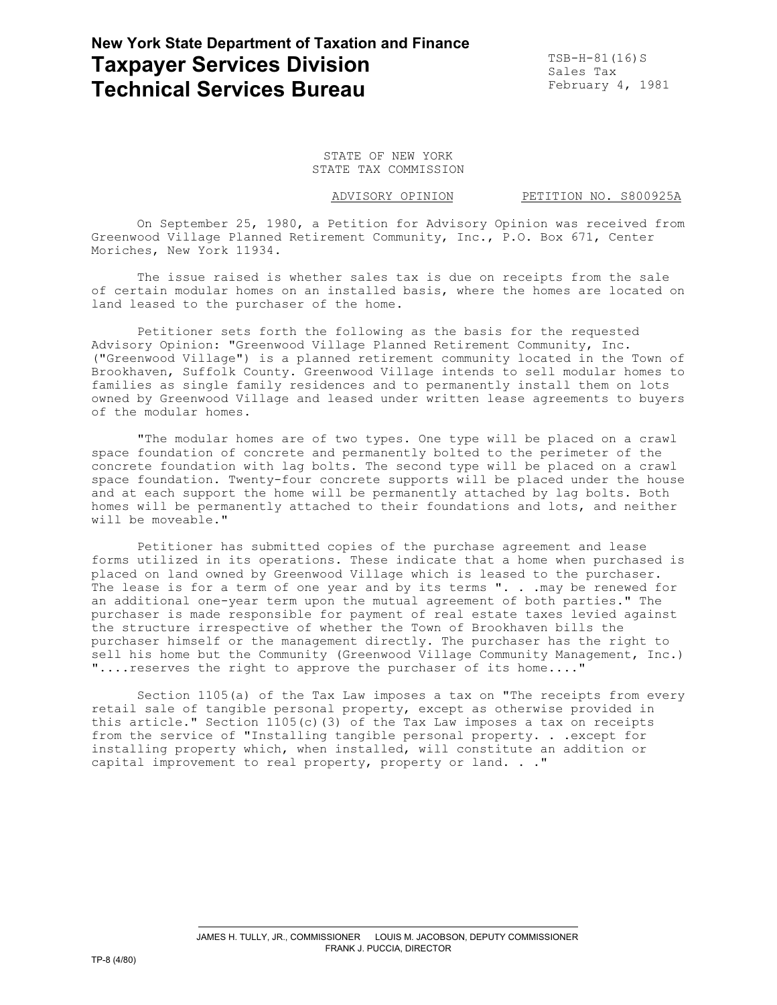## **New York State Department of Taxation and Finance Taxpayer Services Division Taxpayer Services Division Technical Services Bureau**

Sales Tax<br>February 4, 1981

STATE OF NEW YORK STATE TAX COMMISSION

ADVISORY OPINION PETITION NO. S800925A

On September 25, 1980, a Petition for Advisory Opinion was received from Greenwood Village Planned Retirement Community, Inc., P.O. Box 671, Center Moriches, New York 11934.

The issue raised is whether sales tax is due on receipts from the sale of certain modular homes on an installed basis, where the homes are located on land leased to the purchaser of the home.

Petitioner sets forth the following as the basis for the requested Advisory Opinion: "Greenwood Village Planned Retirement Community, Inc. ("Greenwood Village") is a planned retirement community located in the Town of Brookhaven, Suffolk County. Greenwood Village intends to sell modular homes to families as single family residences and to permanently install them on lots owned by Greenwood Village and leased under written lease agreements to buyers of the modular homes.

"The modular homes are of two types. One type will be placed on a crawl space foundation of concrete and permanently bolted to the perimeter of the concrete foundation with lag bolts. The second type will be placed on a crawl space foundation. Twenty-four concrete supports will be placed under the house and at each support the home will be permanently attached by lag bolts. Both homes will be permanently attached to their foundations and lots, and neither will be moveable."

Petitioner has submitted copies of the purchase agreement and lease forms utilized in its operations. These indicate that a home when purchased is placed on land owned by Greenwood Village which is leased to the purchaser. The lease is for a term of one year and by its terms ". . . may be renewed for an additional one-year term upon the mutual agreement of both parties." The purchaser is made responsible for payment of real estate taxes levied against the structure irrespective of whether the Town of Brookhaven bills the purchaser himself or the management directly. The purchaser has the right to sell his home but the Community (Greenwood Village Community Management, Inc.) "....reserves the right to approve the purchaser of its home...."

Section 1105(a) of the Tax Law imposes a tax on "The receipts from every retail sale of tangible personal property, except as otherwise provided in this article." Section  $1105(c)$  (3) of the Tax Law imposes a tax on receipts from the service of "Installing tangible personal property. . .except for installing property which, when installed, will constitute an addition or capital improvement to real property, property or land. . ."